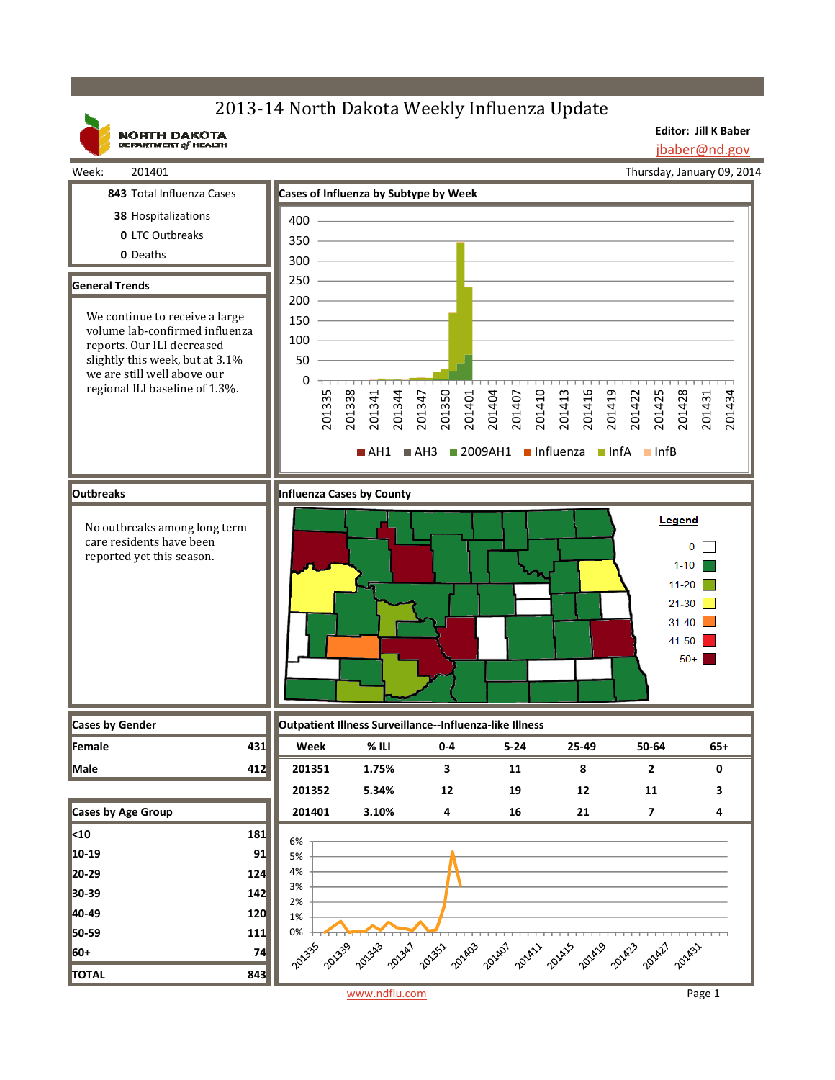# 2013-14 North Dakota Weekly Influenza Update

**NORTH DAKOTA**<br>DEPARTMENT of HEALTH

**Editor: Jill K Baber** jbaber@nd.gov